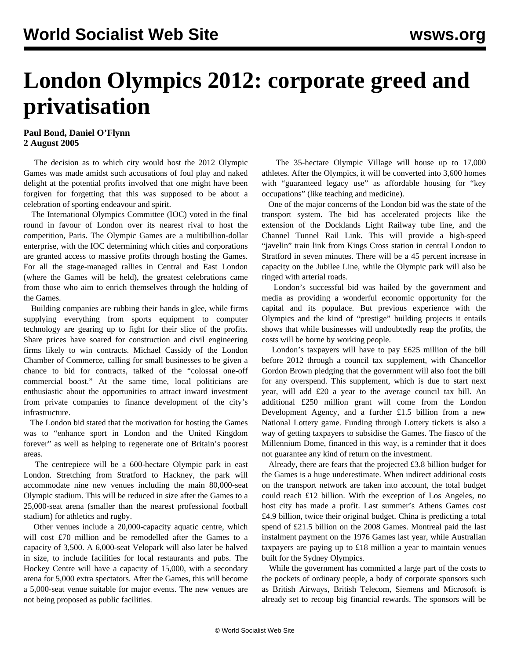## **London Olympics 2012: corporate greed and privatisation**

## **Paul Bond, Daniel O'Flynn 2 August 2005**

 The decision as to which city would host the 2012 Olympic Games was made amidst such accusations of foul play and naked delight at the potential profits involved that one might have been forgiven for forgetting that this was supposed to be about a celebration of sporting endeavour and spirit.

 The International Olympics Committee (IOC) voted in the final round in favour of London over its nearest rival to host the competition, Paris. The Olympic Games are a multibillion**-**dollar enterprise, with the IOC determining which cities and corporations are granted access to massive profits through hosting the Games. For all the stage-managed rallies in Central and East London (where the Games will be held), the greatest celebrations came from those who aim to enrich themselves through the holding of the Games.

 Building companies are rubbing their hands in glee, while firms supplying everything from sports equipment to computer technology are gearing up to fight for their slice of the profits. Share prices have soared for construction and civil engineering firms likely to win contracts. Michael Cassidy of the London Chamber of Commerce, calling for small businesses to be given a chance to bid for contracts, talked of the "colossal one-off commercial boost." At the same time, local politicians are enthusiastic about the opportunities to attract inward investment from private companies to finance development of the city's infrastructure.

 The London bid stated that the motivation for hosting the Games was to "enhance sport in London and the United Kingdom forever" as well as helping to regenerate one of Britain's poorest areas.

 The centrepiece will be a 600-hectare Olympic park in east London. Stretching from Stratford to Hackney, the park will accommodate nine new venues including the main 80,000-seat Olympic stadium. This will be reduced in size after the Games to a 25,000-seat arena (smaller than the nearest professional football stadium) for athletics and rugby.

 Other venues include a 20,000-capacity aquatic centre, which will cost £70 million and be remodelled after the Games to a capacity of 3,500. A 6,000-seat Velopark will also later be halved in size, to include facilities for local restaurants and pubs. The Hockey Centre will have a capacity of 15,000, with a secondary arena for 5,000 extra spectators. After the Games, this will become a 5,000-seat venue suitable for major events. The new venues are not being proposed as public facilities.

 The 35-hectare Olympic Village will house up to 17,000 athletes. After the Olympics, it will be converted into 3,600 homes with "guaranteed legacy use" as affordable housing for "key occupations" (like teaching and medicine).

 One of the major concerns of the London bid was the state of the transport system. The bid has accelerated projects like the extension of the Docklands Light Railway tube line, and the Channel Tunnel Rail Link. This will provide a high-speed "javelin" train link from Kings Cross station in central London to Stratford in seven minutes. There will be a 45 percent increase in capacity on the Jubilee Line, while the Olympic park will also be ringed with arterial roads.

 London's successful bid was hailed by the government and media as providing a wonderful economic opportunity for the capital and its populace. But previous experience with the Olympics and the kind of "prestige" building projects it entails shows that while businesses will undoubtedly reap the profits, the costs will be borne by working people.

 London's taxpayers will have to pay £625 million of the bill before 2012 through a council tax supplement, with Chancellor Gordon Brown pledging that the government will also foot the bill for any overspend. This supplement, which is due to start next year, will add £20 a year to the average council tax bill. An additional £250 million grant will come from the London Development Agency, and a further £1.5 billion from a new National Lottery game. Funding through Lottery tickets is also a way of getting taxpayers to subsidise the Games. The fiasco of the Millennium Dome, financed in this way, is a reminder that it does not guarantee any kind of return on the investment.

 Already, there are fears that the projected £3.8 billion budget for the Games is a huge underestimate. When indirect additional costs on the transport network are taken into account, the total budget could reach £12 billion. With the exception of Los Angeles, no host city has made a profit. Last summer's Athens Games cost £4.9 billion, twice their original budget. China is predicting a total spend of £21.5 billion on the 2008 Games. Montreal paid the last instalment payment on the 1976 Games last year, while Australian taxpayers are paying up to £18 million a year to maintain venues built for the Sydney Olympics.

 While the government has committed a large part of the costs to the pockets of ordinary people, a body of corporate sponsors such as British Airways, British Telecom, Siemens and Microsoft is already set to recoup big financial rewards. The sponsors will be